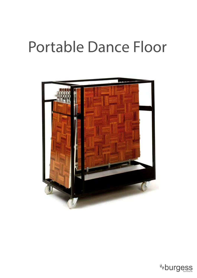# Portable Dance Floor



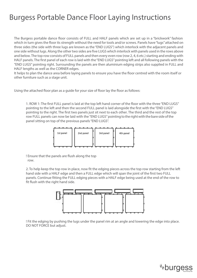The Burgess portable dance floor consists of FULL and HALF panels which are set up in a "brickwork" fashion which in turn gives the floor its strength without the need for tools and/or screws. Panels have "lugs" attached on three sides (the side with three lugs are known as the "END LUGS") which interlock with the adjacent panels and one side without lugs. Along the other two sides are five LUGS which interlock with panels used in the rows above and below. The top row consists of FULL panels and then every even row (row 2, 4, 6 etc.) starting and ending with HALF panels. The first panel of each row is laid with the "END LUGS" pointing left and all following panels with the "END LUGS" pointing right. Surrounding the panels are then aluminium edging strips also supplied in FULL and HALF lengths as well as the CORNER edges.

It helps to plan the dance area before laying panels to ensure you have the floor centred with the room itself or other furniture such as a stage unit.

Using the attached floor plan as a guide for your size of floor lay the floor as follows:

1. ROW 1: The first FULL panel is laid at the top left hand corner of the floor with the three "END LUGS" pointing to the left and then the second FULL panel is laid alongside the first with the "END LUGS" pointing to the right. The first two panels just sit next to each other. The third and the rest of the top row FULL panels can now be laid with the "END LUGS" pointing to the right with the bare side of the panel sitting on top of the previous panels "END LUGS".



! Ensure that the panels are flush along the top row.

2. To help keep the top row in place, now fit the edging pieces across the top row starting from the left hand side with a HALF edge and then a FULL edge which will span the joint of the first two FULL panels. Continue fitting the FULL edging pieces with a HALF edge being used at the end of the row to fit flush with the right hand side.



! Fit the edging by pushing the lugs under the panel rim at an angle and lowering the edge into place. DO NOT FORCE but adjust.

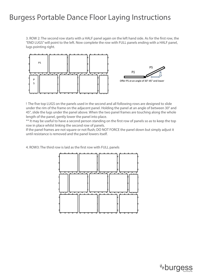3. ROW 2: The second row starts with a HALF panel again on the left hand side. As for the first row, the "END LUGS" will point to the left. Now complete the row with FULL panels ending with a HALF panel, lugs pointing right.



! The five top LUGS on the panels used in the second and all following rows are designed to slide under the rim of the frame on the adjacent panel. Holding the panel at an angle of between 30° and 45°, slide the lugs under the panel above. When the two panel frames are touching along the whole length of the panel, gently lower the panel into place.

\*\* It may be useful to have a second person standing on the first row of panels so as to keep the top row in place whilst linking the second row of panels.

If the panel frames are not square or not flush; DO NOT FORCE the panel down but simply adjust it until resistance is removed and the panel lowers itself.

4. ROW3: The third row is laid as the first row with FULL panels

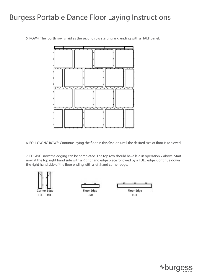5. ROW4: The fourth row is laid as the second row starting and ending with a HALF panel.



6. FOLLOWING ROWS: Continue laying the floor in this fashion until the desired size of floor is achieved.

7. EDGING: now the edging can be completed. The top row should have laid in operation 2 above. Start now at the top right hand side with a Right hand edge piece followed by a FULL edge. Continue down the right hand side of the floor ending with a left hand corner edge.



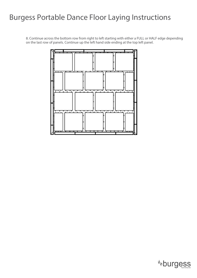8. Continue across the bottom row from right to left starting with either a FULL or HALF edge depending on the last row of panels. Continue up the left hand side ending at the top left panel.



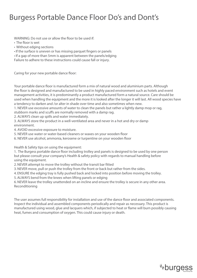### Burgess Portable Dance Floor Do's and Dont's

WARNING: Do not use or allow the floor to be used if:

- The floor is wet
- Without edging sections

• If the surface is uneven or has missing parquet fingers or panels

• If a gap of more than 5mm is apparent between the panels/edging

Failure to adhere to these instructions could cause fall or injury.

Caring for your new portable dance floor:

Your portable dance floor is manufactured form a mix of natural wood and aluminium parts. Although the floor is designed and manufactured to be used in highly paced environment such as hotels and event management activities, it is predominantly a product manufactured form a natural source. Care should be used when handling the equipment and the more it is looked after the longer it will last. All wood species have a tendency to darken and /or alter in shade over time and also sometimes when new.

1. NEVER use excessive amounts of water to clean the panels but rather a lightly damp mop or rag, stubborn marks and scuffs are normally removed with a damp rag.

2. ALWAYS clean up spills and water immediately.

3. ALWAYS store the product in a well-ventilated area and never in a hot and dry or damp environment.

4. AVOID excessive exposure to moisture.

5. NEVER use water or water-based cleaners or waxes on your wooden floor

6. NEVER use alcohol, ammonia, kerosene or turpentine on your wooden floor

Health & Safety tips on using the equipment:

1. The Burgess portable dance floor including trolley and panels is designed to be used by one person but please consult your company's Health & safety policy with regards to manual handling before using the equipment.

2. NEVER attempt to move the trolley without the transit bar fitted

3. NEVER move, pull or push the trolley from the front or back but rather from the sides.

4. ENSURE the edging tray is fully pushed back and locked into position before moving the trolley.

5. ALWAYS bend from the knees when lifting panels or edging

6. NEVER leave the trolley unattended on an incline and ensure the trolley is secure in any other area. Reconditioning

The user assumes full responsibility for installation and use of the dance floor and associated components. Inspect the individual and assembled components periodically and repair as necessary. This product is manufactured using wood, glue and lacquers which, if subjected to heat or flame will burn possibly causing heat, fumes and consumption of oxygen. This could cause injury or death.

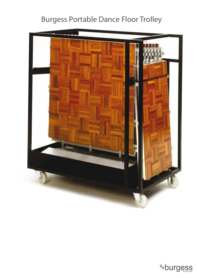## Burgess Portable Dance Floor Trolley